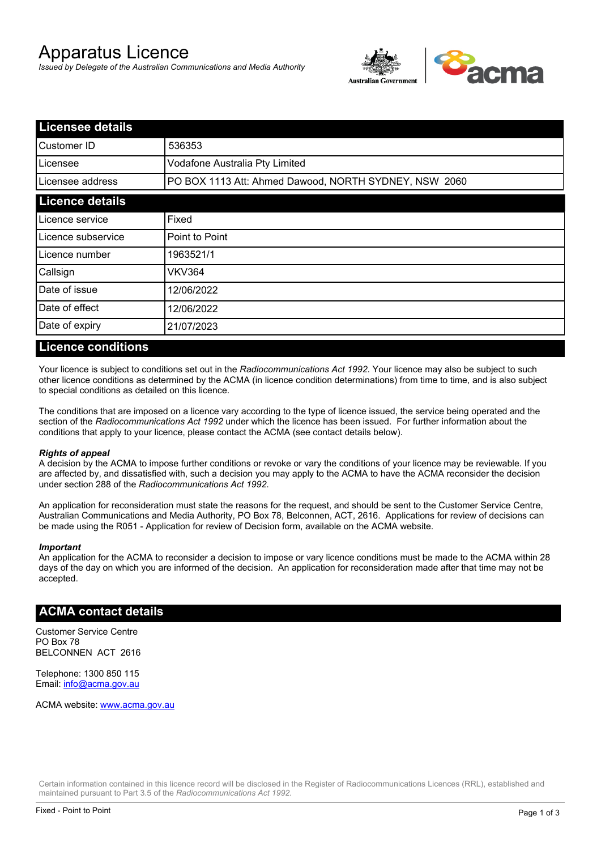# Apparatus Licence

*Issued by Delegate of the Australian Communications and Media Authority*



| <b>Licensee details</b> |                                                       |  |
|-------------------------|-------------------------------------------------------|--|
| lCustomer ID            | 536353                                                |  |
| l Licensee              | Vodafone Australia Pty Limited                        |  |
| Licensee address        | PO BOX 1113 Att: Ahmed Dawood, NORTH SYDNEY, NSW 2060 |  |
| <b>Licence details</b>  |                                                       |  |
| Licence service         | Fixed                                                 |  |
| Licence subservice      | Point to Point                                        |  |
| Licence number          | 1963521/1                                             |  |
| Callsign                | <b>VKV364</b>                                         |  |
| Date of issue           | 12/06/2022                                            |  |
| Date of effect          | 12/06/2022                                            |  |
| Date of expiry          | 21/07/2023                                            |  |

#### **Licence conditions**

Your licence is subject to conditions set out in the *Radiocommunications Act 1992*. Your licence may also be subject to such other licence conditions as determined by the ACMA (in licence condition determinations) from time to time, and is also subject to special conditions as detailed on this licence.

The conditions that are imposed on a licence vary according to the type of licence issued, the service being operated and the section of the *Radiocommunications Act 1992* under which the licence has been issued. For further information about the conditions that apply to your licence, please contact the ACMA (see contact details below).

#### *Rights of appeal*

A decision by the ACMA to impose further conditions or revoke or vary the conditions of your licence may be reviewable. If you are affected by, and dissatisfied with, such a decision you may apply to the ACMA to have the ACMA reconsider the decision under section 288 of the *Radiocommunications Act 1992*.

An application for reconsideration must state the reasons for the request, and should be sent to the Customer Service Centre, Australian Communications and Media Authority, PO Box 78, Belconnen, ACT, 2616. Applications for review of decisions can be made using the R051 - Application for review of Decision form, available on the ACMA website.

#### *Important*

An application for the ACMA to reconsider a decision to impose or vary licence conditions must be made to the ACMA within 28 days of the day on which you are informed of the decision. An application for reconsideration made after that time may not be accepted.

### **ACMA contact details**

Customer Service Centre PO Box 78 BELCONNEN ACT 2616

Telephone: 1300 850 115 Email: info@acma.gov.au

ACMA website: www.acma.gov.au

Certain information contained in this licence record will be disclosed in the Register of Radiocommunications Licences (RRL), established and maintained pursuant to Part 3.5 of the *Radiocommunications Act 1992.*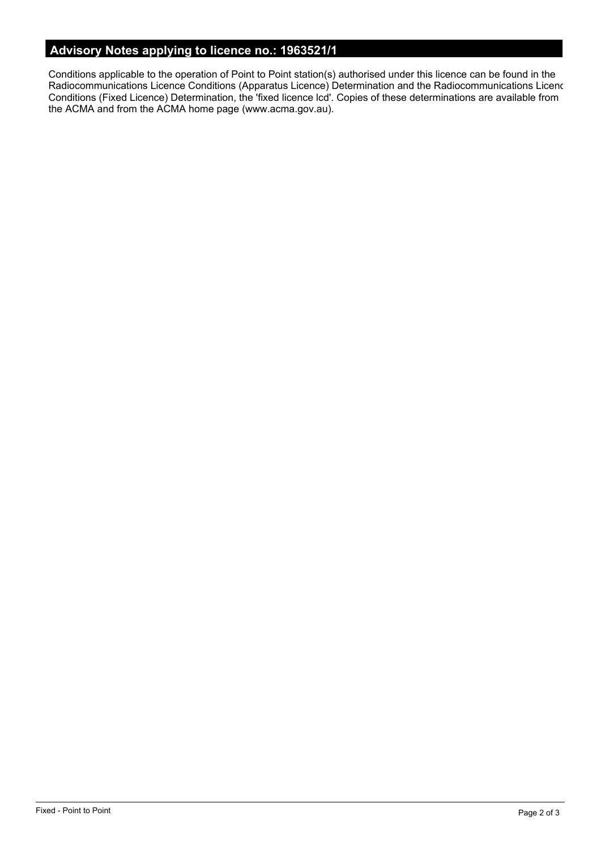# **Advisory Notes applying to licence no.: 1963521/1**

Conditions applicable to the operation of Point to Point station(s) authorised under this licence can be found in the Radiocommunications Licence Conditions (Apparatus Licence) Determination and the Radiocommunications Licence Conditions (Fixed Licence) Determination, the 'fixed licence lcd'. Copies of these determinations are available from the ACMA and from the ACMA home page (www.acma.gov.au).